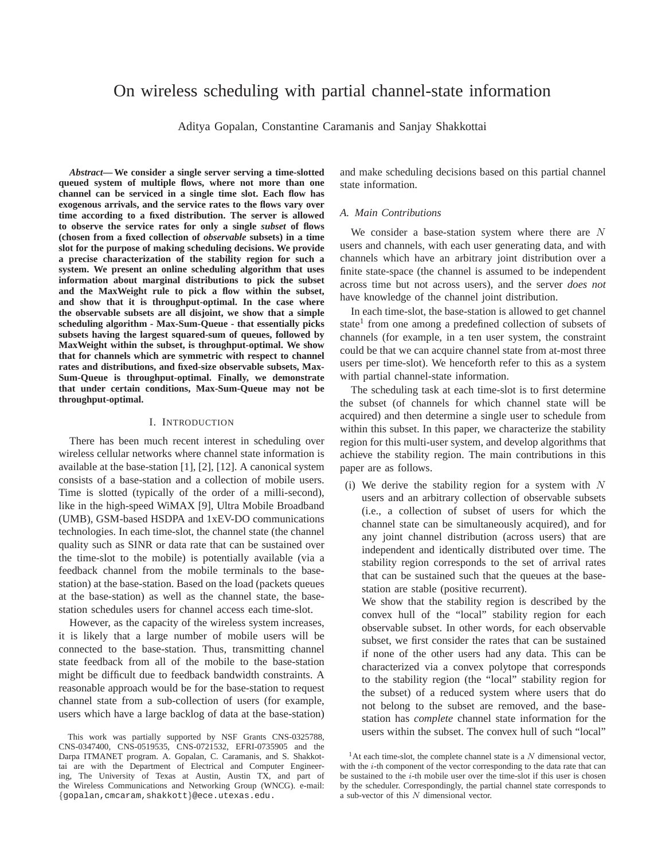# On wireless scheduling with partial channel-state information

Aditya Gopalan, Constantine Caramanis and Sanjay Shakkottai

*Abstract***— We consider a single server serving a time-slotted queued system of multiple flows, where not more than one channel can be serviced in a single time slot. Each flow has exogenous arrivals, and the service rates to the flows vary over time according to a fixed distribution. The server is allowed to observe the service rates for only a single** *subset* **of flows (chosen from a fixed collection of** *observable* **subsets) in a time slot for the purpose of making scheduling decisions. We provide a precise characterization of the stability region for such a system. We present an online scheduling algorithm that uses information about marginal distributions to pick the subset and the MaxWeight rule to pick a flow within the subset, and show that it is throughput-optimal. In the case where the observable subsets are all disjoint, we show that a simple scheduling algorithm - Max-Sum-Queue - that essentially picks subsets having the largest squared-sum of queues, followed by MaxWeight within the subset, is throughput-optimal. We show that for channels which are symmetric with respect to channel rates and distributions, and fixed-size observable subsets, Max-Sum-Queue is throughput-optimal. Finally, we demonstrate that under certain conditions, Max-Sum-Queue may not be throughput-optimal.**

### I. INTRODUCTION

There has been much recent interest in scheduling over wireless cellular networks where channel state information is available at the base-station [1], [2], [12]. A canonical system consists of a base-station and a collection of mobile users. Time is slotted (typically of the order of a milli-second), like in the high-speed WiMAX [9], Ultra Mobile Broadband (UMB), GSM-based HSDPA and 1xEV-DO communications technologies. In each time-slot, the channel state (the channel quality such as SINR or data rate that can be sustained over the time-slot to the mobile) is potentially available (via a feedback channel from the mobile terminals to the basestation) at the base-station. Based on the load (packets queues at the base-station) as well as the channel state, the basestation schedules users for channel access each time-slot.

However, as the capacity of the wireless system increases, it is likely that a large number of mobile users will be connected to the base-station. Thus, transmitting channel state feedback from all of the mobile to the base-station might be difficult due to feedback bandwidth constraints. A reasonable approach would be for the base-station to request channel state from a sub-collection of users (for example, users which have a large backlog of data at the base-station)

and make scheduling decisions based on this partial channel state information.

## *A. Main Contributions*

We consider a base-station system where there are N users and channels, with each user generating data, and with channels which have an arbitrary joint distribution over a finite state-space (the channel is assumed to be independent across time but not across users), and the server *does not* have knowledge of the channel joint distribution.

In each time-slot, the base-station is allowed to get channel state<sup>1</sup> from one among a predefined collection of subsets of channels (for example, in a ten user system, the constraint could be that we can acquire channel state from at-most three users per time-slot). We henceforth refer to this as a system with partial channel-state information.

The scheduling task at each time-slot is to first determine the subset (of channels for which channel state will be acquired) and then determine a single user to schedule from within this subset. In this paper, we characterize the stability region for this multi-user system, and develop algorithms that achieve the stability region. The main contributions in this paper are as follows.

(i) We derive the stability region for a system with  $N$ users and an arbitrary collection of observable subsets (i.e., a collection of subset of users for which the channel state can be simultaneously acquired), and for any joint channel distribution (across users) that are independent and identically distributed over time. The stability region corresponds to the set of arrival rates that can be sustained such that the queues at the basestation are stable (positive recurrent).

We show that the stability region is described by the convex hull of the "local" stability region for each observable subset. In other words, for each observable subset, we first consider the rates that can be sustained if none of the other users had any data. This can be characterized via a convex polytope that corresponds to the stability region (the "local" stability region for the subset) of a reduced system where users that do not belong to the subset are removed, and the basestation has *complete* channel state information for the users within the subset. The convex hull of such "local"

This work was partially supported by NSF Grants CNS-0325788, CNS-0347400, CNS-0519535, CNS-0721532, EFRI-0735905 and the Darpa ITMANET program. A. Gopalan, C. Caramanis, and S. Shakkottai are with the Department of Electrical and Computer Engineering, The University of Texas at Austin, Austin TX, and part of the Wireless Communications and Networking Group (WNCG). e-mail: {gopalan,cmcaram,shakkott}@ece.utexas.edu.

<sup>&</sup>lt;sup>1</sup>At each time-slot, the complete channel state is a  $N$  dimensional vector, with the *i*-th component of the vector corresponding to the data rate that can be sustained to the i-th mobile user over the time-slot if this user is chosen by the scheduler. Correspondingly, the partial channel state corresponds to a sub-vector of this N dimensional vector.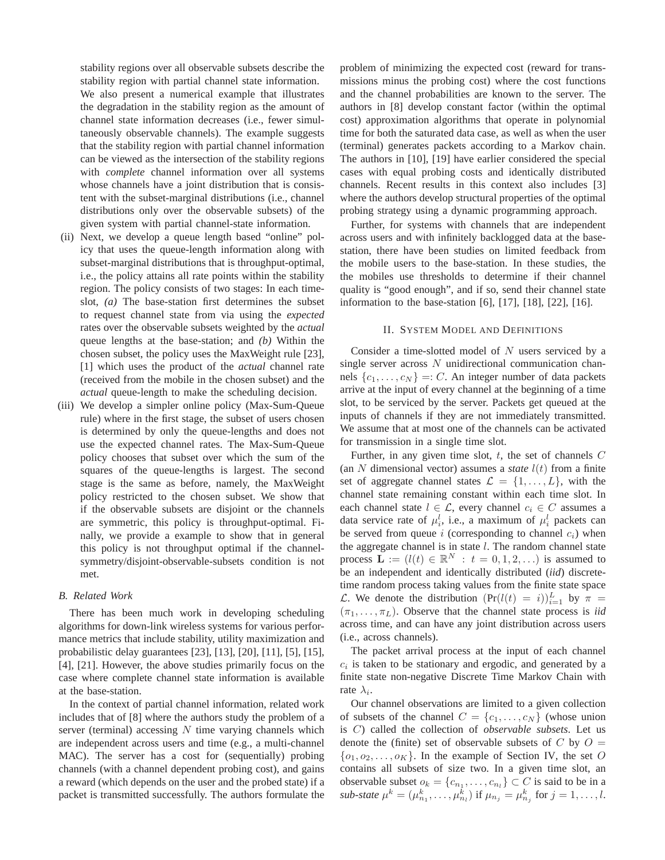stability regions over all observable subsets describe the stability region with partial channel state information. We also present a numerical example that illustrates the degradation in the stability region as the amount of channel state information decreases (i.e., fewer simultaneously observable channels). The example suggests that the stability region with partial channel information can be viewed as the intersection of the stability regions with *complete* channel information over all systems whose channels have a joint distribution that is consistent with the subset-marginal distributions (i.e., channel distributions only over the observable subsets) of the given system with partial channel-state information.

- (ii) Next, we develop a queue length based "online" policy that uses the queue-length information along with subset-marginal distributions that is throughput-optimal, i.e., the policy attains all rate points within the stability region. The policy consists of two stages: In each timeslot, *(a)* The base-station first determines the subset to request channel state from via using the *expected* rates over the observable subsets weighted by the *actual* queue lengths at the base-station; and *(b)* Within the chosen subset, the policy uses the MaxWeight rule [23], [1] which uses the product of the *actual* channel rate (received from the mobile in the chosen subset) and the *actual* queue-length to make the scheduling decision.
- (iii) We develop a simpler online policy (Max-Sum-Queue rule) where in the first stage, the subset of users chosen is determined by only the queue-lengths and does not use the expected channel rates. The Max-Sum-Queue policy chooses that subset over which the sum of the squares of the queue-lengths is largest. The second stage is the same as before, namely, the MaxWeight policy restricted to the chosen subset. We show that if the observable subsets are disjoint or the channels are symmetric, this policy is throughput-optimal. Finally, we provide a example to show that in general this policy is not throughput optimal if the channelsymmetry/disjoint-observable-subsets condition is not met.

### *B. Related Work*

There has been much work in developing scheduling algorithms for down-link wireless systems for various performance metrics that include stability, utility maximization and probabilistic delay guarantees [23], [13], [20], [11], [5], [15], [4], [21]. However, the above studies primarily focus on the case where complete channel state information is available at the base-station.

In the context of partial channel information, related work includes that of [8] where the authors study the problem of a server (terminal) accessing  $N$  time varying channels which are independent across users and time (e.g., a multi-channel MAC). The server has a cost for (sequentially) probing channels (with a channel dependent probing cost), and gains a reward (which depends on the user and the probed state) if a packet is transmitted successfully. The authors formulate the

problem of minimizing the expected cost (reward for transmissions minus the probing cost) where the cost functions and the channel probabilities are known to the server. The authors in [8] develop constant factor (within the optimal cost) approximation algorithms that operate in polynomial time for both the saturated data case, as well as when the user (terminal) generates packets according to a Markov chain. The authors in [10], [19] have earlier considered the special cases with equal probing costs and identically distributed channels. Recent results in this context also includes [3] where the authors develop structural properties of the optimal probing strategy using a dynamic programming approach.

Further, for systems with channels that are independent across users and with infinitely backlogged data at the basestation, there have been studies on limited feedback from the mobile users to the base-station. In these studies, the the mobiles use thresholds to determine if their channel quality is "good enough", and if so, send their channel state information to the base-station [6], [17], [18], [22], [16].

### II. SYSTEM MODEL AND DEFINITIONS

Consider a time-slotted model of  $N$  users serviced by a single server across  $N$  unidirectional communication channels  $\{c_1, \ldots, c_N\} =: C$ . An integer number of data packets arrive at the input of every channel at the beginning of a time slot, to be serviced by the server. Packets get queued at the inputs of channels if they are not immediately transmitted. We assume that at most one of the channels can be activated for transmission in a single time slot.

Further, in any given time slot,  $t$ , the set of channels  $C$ (an N dimensional vector) assumes a *state*  $l(t)$  from a finite set of aggregate channel states  $\mathcal{L} = \{1, \ldots, L\}$ , with the channel state remaining constant within each time slot. In each channel state  $l \in \mathcal{L}$ , every channel  $c_i \in C$  assumes a data service rate of  $\mu_i^l$ , i.e., a maximum of  $\mu_i^l$  packets can be served from queue  $i$  (corresponding to channel  $c_i$ ) when the aggregate channel is in state  $l$ . The random channel state process  $\mathbf{L} := (l(t) \in \mathbb{R}^N : t = 0, 1, 2, ...)$  is assumed to be an independent and identically distributed (*iid*) discretetime random process taking values from the finite state space *C*. We denote the distribution  $(\Pr(l(t) = i))_{i=1}^L$  by  $\pi =$  $(\pi_1, \ldots, \pi_L)$ . Observe that the channel state process is *iid* across time, and can have any joint distribution across users (i.e., across channels).

The packet arrival process at the input of each channel  $c_i$  is taken to be stationary and ergodic, and generated by a finite state non-negative Discrete Time Markov Chain with rate  $\lambda_i$ .

Our channel observations are limited to a given collection of subsets of the channel  $C = \{c_1, \ldots, c_N\}$  (whose union is C) called the collection of *observable subsets*. Let us denote the (finite) set of observable subsets of C by  $O =$  $\{o_1, o_2, \ldots, o_K\}$ . In the example of Section IV, the set O contains all subsets of size two. In a given time slot, an observable subset  $o_k = \{c_{n_1}, \ldots, c_{n_l}\} \subset C$  is said to be in a *sub-state*  $\mu^k = (\mu_{n_1}^k, \dots, \mu_{n_l}^k)$  if  $\mu_{n_j} = \mu_{n_j}^k$  for  $j = 1, \dots, l$ .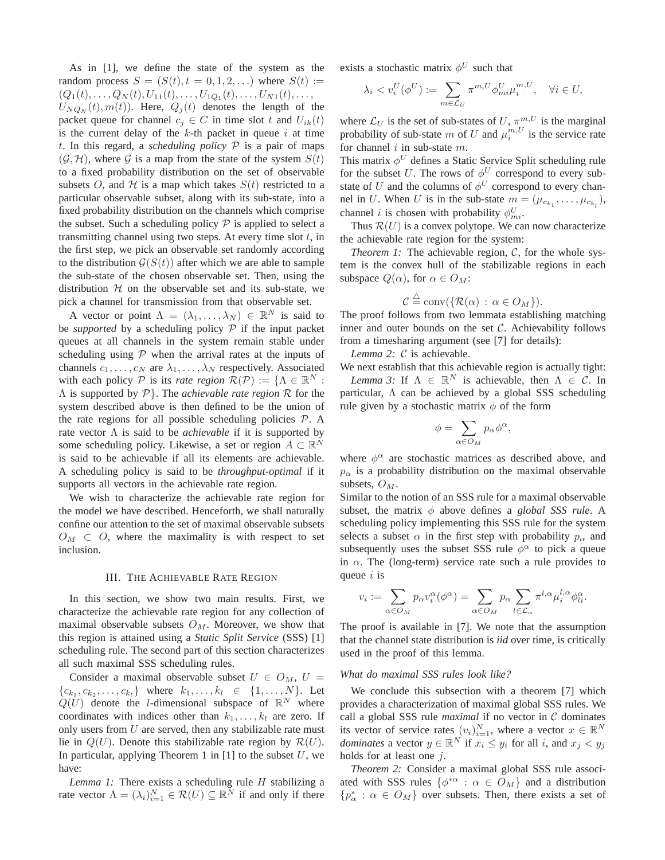As in [1], we define the state of the system as the random process  $S = (S(t), t = 0, 1, 2, ...)$  where  $S(t) :=$  $(Q_1(t),...,Q_N(t),U_{11}(t),...,U_{1Q_1}(t),...,U_{N1}(t),...,$ 

 $U_{NQ_N}(t), m(t)$ . Here,  $Q_j(t)$  denotes the length of the packet queue for channel  $c_j \in C$  in time slot t and  $U_{ik}(t)$ is the current delay of the  $k$ -th packet in queue  $i$  at time t. In this regard, a *scheduling policy*  $P$  is a pair of maps  $(\mathcal{G}, \mathcal{H})$ , where  $\mathcal G$  is a map from the state of the system  $S(t)$ to a fixed probability distribution on the set of observable subsets O, and H is a map which takes  $S(t)$  restricted to a particular observable subset, along with its sub-state, into a fixed probability distribution on the channels which comprise the subset. Such a scheduling policy  $P$  is applied to select a transmitting channel using two steps. At every time slot  $t$ , in the first step, we pick an observable set randomly according to the distribution  $G(S(t))$  after which we are able to sample the sub-state of the chosen observable set. Then, using the distribution  $H$  on the observable set and its sub-state, we pick a channel for transmission from that observable set.

A vector or point  $\Lambda = (\lambda_1, \dots, \lambda_N) \in \mathbb{R}^N$  is said to be *supported* by a scheduling policy  $\mathcal{P}$  if the input packet queues at all channels in the system remain stable under scheduling using  $P$  when the arrival rates at the inputs of channels  $c_1, \ldots, c_N$  are  $\lambda_1, \ldots, \lambda_N$  respectively. Associated with each policy  $P$  is its *rate region*  $\mathcal{R}(P) := \{ \Lambda \in \mathbb{R}^N : \Lambda \in \mathbb{R}^N \}$ Λ is supported by P}. The *achievable rate region* R for the system described above is then defined to be the union of the rate regions for all possible scheduling policies  $P$ . A rate vector Λ is said to be *achievable* if it is supported by some scheduling policy. Likewise, a set or region  $A \subset \mathbb{R}^N$ is said to be achievable if all its elements are achievable. A scheduling policy is said to be *throughput-optimal* if it supports all vectors in the achievable rate region.

We wish to characterize the achievable rate region for the model we have described. Henceforth, we shall naturally confine our attention to the set of maximal observable subsets  $O_M \subset O$ , where the maximality is with respect to set inclusion.

#### III. THE ACHIEVABLE RATE REGION

In this section, we show two main results. First, we characterize the achievable rate region for any collection of maximal observable subsets  $O<sub>M</sub>$ . Moreover, we show that this region is attained using a *Static Split Service* (SSS) [1] scheduling rule. The second part of this section characterizes all such maximal SSS scheduling rules.

Consider a maximal observable subset  $U \in O_M$ ,  $U =$  $\{c_{k_1}, c_{k_2}, \ldots, c_{k_l}\}\$  where  $k_1, \ldots, k_l \in \{1, \ldots, N\}$ . Let  $Q(U)$  denote the *l*-dimensional subspace of  $\mathbb{R}^N$  where coordinates with indices other than  $k_1, \ldots, k_l$  are zero. If only users from  $U$  are served, then any stabilizable rate must lie in  $Q(U)$ . Denote this stabilizable rate region by  $\mathcal{R}(U)$ . In particular, applying Theorem 1 in  $[1]$  to the subset  $U$ , we have:

*Lemma 1:* There exists a scheduling rule H stabilizing a rate vector  $\Lambda = (\lambda_i)_{i=1}^N \in \mathcal{R}(U) \subseteq \mathbb{R}^N$  if and only if there

exists a stochastic matrix  $\phi^U$  such that

$$
\lambda_i < v_i^U(\phi^U) := \sum_{m \in \mathcal{L}_U} \pi^{m,U} \phi_{mi}^U \mu_i^{m,U}, \quad \forall i \in U,
$$

where  $\mathcal{L}_U$  is the set of sub-states of U,  $\pi_{\mathcal{L}}^{m,U}$  is the marginal probability of sub-state m of U and  $\mu_i^{m,U}$  is the service rate for channel  $i$  in sub-state  $m$ .

This matrix  $\phi^U$  defines a Static Service Split scheduling rule for the subset U. The rows of  $\phi^U$  correspond to every substate of U and the columns of  $\phi^U$  correspond to every channel in U. When U is in the sub-state  $m = (\mu_{c_{k_1}}, \dots, \mu_{c_{k_l}})$ , channel *i* is chosen with probability  $\phi_{mi}^U$ .

Thus  $\mathcal{R}(U)$  is a convex polytope. We can now characterize the achievable rate region for the system:

*Theorem 1:* The achievable region, C, for the whole system is the convex hull of the stabilizable regions in each subspace  $Q(\alpha)$ , for  $\alpha \in O_M$ :

$$
C \stackrel{\triangle}{=} \text{conv}(\{\mathcal{R}(\alpha) : \alpha \in O_M\}).
$$

The proof follows from two lemmata establishing matching inner and outer bounds on the set  $C$ . Achievability follows from a timesharing argument (see [7] for details):

*Lemma 2:* C is achievable.

We next establish that this achievable region is actually tight: *Lemma 3:* If  $\Lambda \in \mathbb{R}^N$  is achievable, then  $\Lambda \in \mathcal{C}$ . In particular,  $\Lambda$  can be achieved by a global SSS scheduling rule given by a stochastic matrix  $\phi$  of the form

$$
\phi = \sum_{\alpha \in O_M} p_\alpha \phi^\alpha,
$$

where  $\phi^{\alpha}$  are stochastic matrices as described above, and  $p_{\alpha}$  is a probability distribution on the maximal observable subsets,  $O_M$ .

Similar to the notion of an SSS rule for a maximal observable subset, the matrix  $\phi$  above defines a *global SSS rule*. A scheduling policy implementing this SSS rule for the system selects a subset  $\alpha$  in the first step with probability  $p_{\alpha}$  and subsequently uses the subset SSS rule  $\phi^{\alpha}$  to pick a queue in  $\alpha$ . The (long-term) service rate such a rule provides to queue  $i$  is

$$
v_i:=\sum_{\alpha\in O_M}p_{\alpha}v_i^{\alpha}(\phi^{\alpha})=\sum_{\alpha\in O_M}p_{\alpha}\sum_{l\in\mathcal{L}_{\alpha}}\pi^{l,\alpha}\mu_i^{l,\alpha}\phi_{li}^{\alpha}.
$$

The proof is available in [7]. We note that the assumption that the channel state distribution is *iid* over time, is critically used in the proof of this lemma.

### *What do maximal SSS rules look like?*

We conclude this subsection with a theorem [7] which provides a characterization of maximal global SSS rules. We call a global SSS rule *maximal* if no vector in C dominates its vector of service rates  $(v_i)_{i=1}^N$ , where a vector  $x \in \mathbb{R}^N$ *dominates* a vector  $y \in \mathbb{R}^N$  if  $x_i \leq y_i$  for all i, and  $x_j < y_j$ holds for at least one j.

*Theorem 2:* Consider a maximal global SSS rule associated with SSS rules  $\{\phi^*\alpha : \alpha \in O_M\}$  and a distribution  ${p^*_\alpha : \alpha \in O_M}$  over subsets. Then, there exists a set of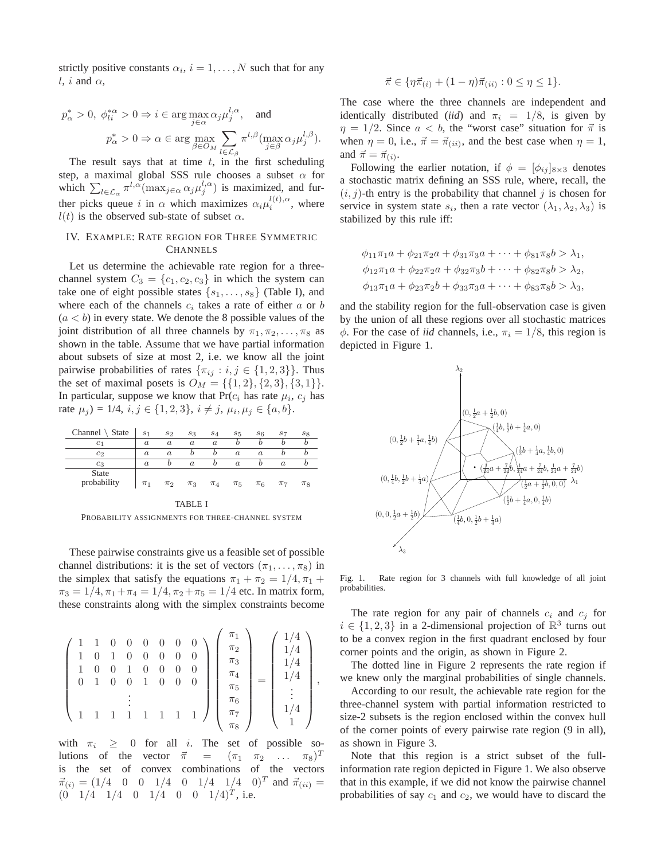strictly positive constants  $\alpha_i$ ,  $i = 1, \dots, N$  such that for any l, i and  $\alpha$ ,

$$
p^*_{\alpha} > 0, \ \phi_{li}^{*\alpha} > 0 \Rightarrow i \in \arg \max_{j \in \alpha} \alpha_j \mu_j^{l, \alpha}, \quad \text{and}
$$

$$
p^*_{\alpha} > 0 \Rightarrow \alpha \in \arg \max_{\beta \in O_M} \sum_{l \in \mathcal{L}_{\beta}} \pi^{l, \beta} (\max_{j \in \beta} \alpha_j \mu_j^{l, \beta}).
$$

The result says that at time  $t$ , in the first scheduling step, a maximal global SSS rule chooses a subset  $\alpha$  for which  $\sum_{l \in \mathcal{L}_{\alpha}} \pi^{l, \alpha}(\max_{j \in \alpha} \alpha_j \mu_j^{l, \alpha})$  is maximized, and further picks queue i in  $\alpha$  which maximizes  $\alpha_i \mu_i^{l(t),\alpha}$ , where  $l(t)$  is the observed sub-state of subset  $\alpha$ .

# IV. EXAMPLE: RATE REGION FOR THREE SYMMETRIC **CHANNELS**

Let us determine the achievable rate region for a threechannel system  $C_3 = \{c_1, c_2, c_3\}$  in which the system can take one of eight possible states  $\{s_1, \ldots, s_8\}$  (Table I), and where each of the channels  $c_i$  takes a rate of either  $a$  or  $b$  $(a < b)$  in every state. We denote the 8 possible values of the joint distribution of all three channels by  $\pi_1, \pi_2, \ldots, \pi_8$  as shown in the table. Assume that we have partial information about subsets of size at most 2, i.e. we know all the joint pairwise probabilities of rates  $\{\pi_{ij} : i, j \in \{1, 2, 3\}\}\.$  Thus the set of maximal posets is  $O_M = \{\{1, 2\}, \{2, 3\}, \{3, 1\}\}.$ In particular, suppose we know that  $Pr(c_i)$  has rate  $\mu_i$ ,  $c_j$  has rate  $\mu_j$ ) = 1/4,  $i, j \in \{1, 2, 3\}$ ,  $i \neq j$ ,  $\mu_i, \mu_j \in \{a, b\}$ .

| Channel $\setminus$ State   | S <sub>1</sub>   | $s_2$            | $s_3$            | $s_4$            | $s_{5}$          | s <sub>6</sub> | S7       | $s_8$   |
|-----------------------------|------------------|------------------|------------------|------------------|------------------|----------------|----------|---------|
| $_{c_1}$                    | $\boldsymbol{a}$ | $\boldsymbol{a}$ | $\boldsymbol{a}$ | $\boldsymbol{a}$ |                  |                |          |         |
| c <sub>2</sub>              | $\alpha$         | $\alpha$         |                  | D                | $\boldsymbol{a}$ | $\alpha$       |          |         |
| $c_3$                       | $\alpha$         |                  | $\alpha$         |                  | $\alpha$         |                | $\alpha$ |         |
| <b>State</b><br>probability | $\pi_1$          | $\pi_2$          | $\pi_3$          | $\pi_4$          | $\pi_5$          | $\pi_6$        | $\pi_7$  | $\pi_8$ |

TABLE I PROBABILITY ASSIGNMENTS FOR THREE-CHANNEL SYSTEM

These pairwise constraints give us a feasible set of possible channel distributions: it is the set of vectors  $(\pi_1, \ldots, \pi_8)$  in the simplex that satisfy the equations  $\pi_1 + \pi_2 = 1/4, \pi_1 +$  $\pi_3 = 1/4, \pi_1 + \pi_4 = 1/4, \pi_2 + \pi_5 = 1/4$  etc. In matrix form, these constraints along with the simplex constraints become

$$
\begin{pmatrix}\n1 & 1 & 0 & 0 & 0 & 0 & 0 & 0 \\
1 & 0 & 1 & 0 & 0 & 0 & 0 & 0 \\
1 & 0 & 0 & 1 & 0 & 0 & 0 & 0 \\
0 & 1 & 0 & 0 & 1 & 0 & 0 & 0 \\
\vdots & \vdots & \vdots & \vdots & \vdots & \vdots & \vdots \\
1 & 1 & 1 & 1 & 1 & 1 & 1\n\end{pmatrix}\n\begin{pmatrix}\n\pi_1 \\
\pi_2 \\
\pi_3 \\
\pi_4 \\
\pi_5 \\
\pi_6 \\
\pi_7 \\
\pi_8\n\end{pmatrix}\n=\n\begin{pmatrix}\n1/4 \\
1/4 \\
1/4 \\
\vdots \\
1/4 \\
1\n\end{pmatrix},
$$

with  $\pi_i \geq 0$  for all i. The set of possible solutions of the vector  $\vec{\pi}$  =  $(\pi_1 \ \pi_2 \ \ldots \ \pi_8)^T$ is the set of convex combinations of the vectors  $\vec{\pi}_{(i)} = (1/4 \quad 0 \quad 0 \quad 1/4 \quad 0 \quad 1/4 \quad 1/4 \quad 0)^T$  and  $\vec{\pi}_{(ii)} =$  $(0 \t1/4 \t1/4 \t0 \t1/4 \t0 \t0 \t1/4)^T$ , i.e.

$$
\vec{\pi} \in \{ \eta \vec{\pi}_{(i)} + (1 - \eta) \vec{\pi}_{(ii)} : 0 \le \eta \le 1 \}.
$$

The case where the three channels are independent and identically distributed (*iid*) and  $\pi_i = 1/8$ , is given by  $\eta = 1/2$ . Since  $a < b$ , the "worst case" situation for  $\vec{\pi}$  is when  $\eta = 0$ , i.e.,  $\vec{\pi} = \vec{\pi}_{(ii)}$ , and the best case when  $\eta = 1$ , and  $\vec{\pi} = \vec{\pi}_{(i)}$ .

Following the earlier notation, if  $\phi = [\phi_{ij}]_{8\times3}$  denotes a stochastic matrix defining an SSS rule, where, recall, the  $(i, j)$ -th entry is the probability that channel j is chosen for service in system state  $s_i$ , then a rate vector  $(\lambda_1, \lambda_2, \lambda_3)$  is stabilized by this rule iff:

$$
\phi_{11}\pi_1 a + \phi_{21}\pi_2 a + \phi_{31}\pi_3 a + \cdots + \phi_{81}\pi_8 b > \lambda_1,\n\phi_{12}\pi_1 a + \phi_{22}\pi_2 a + \phi_{32}\pi_3 b + \cdots + \phi_{82}\pi_8 b > \lambda_2,\n\phi_{13}\pi_1 a + \phi_{23}\pi_2 b + \phi_{33}\pi_3 a + \cdots + \phi_{83}\pi_8 b > \lambda_3,
$$

and the stability region for the full-observation case is given by the union of all these regions over all stochastic matrices  $\phi$ . For the case of *iid* channels, i.e.,  $\pi_i = 1/8$ , this region is depicted in Figure 1.



Fig. 1. Rate region for 3 channels with full knowledge of all joint probabilities.

The rate region for any pair of channels  $c_i$  and  $c_j$  for  $i \in \{1, 2, 3\}$  in a 2-dimensional projection of  $\mathbb{R}^3$  turns out to be a convex region in the first quadrant enclosed by four corner points and the origin, as shown in Figure 2.

The dotted line in Figure 2 represents the rate region if we knew only the marginal probabilities of single channels.

According to our result, the achievable rate region for the three-channel system with partial information restricted to size-2 subsets is the region enclosed within the convex hull of the corner points of every pairwise rate region (9 in all), as shown in Figure 3.

Note that this region is a strict subset of the fullinformation rate region depicted in Figure 1. We also observe that in this example, if we did not know the pairwise channel probabilities of say  $c_1$  and  $c_2$ , we would have to discard the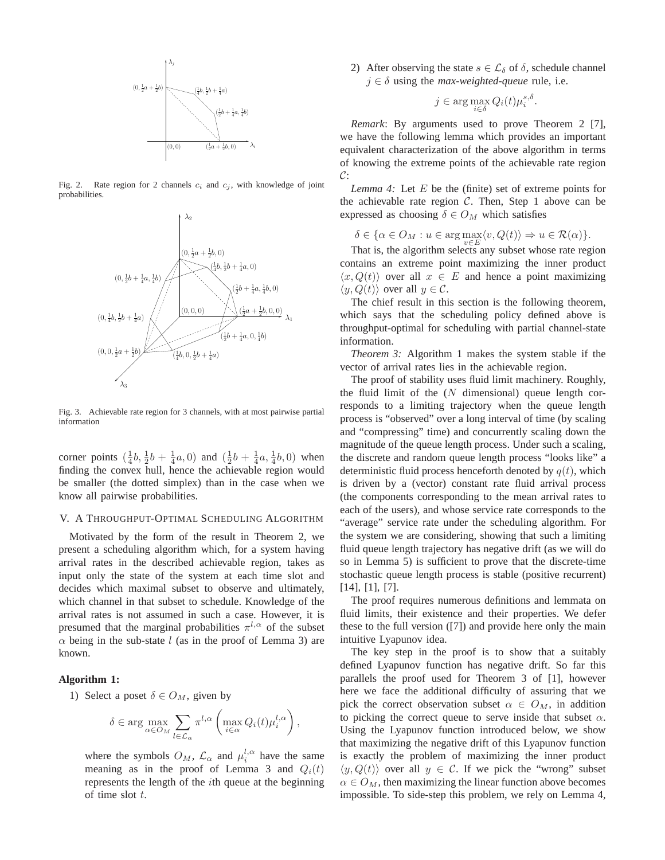

Fig. 2. Rate region for 2 channels  $c_i$  and  $c_j$ , with knowledge of joint probabilities.



Fig. 3. Achievable rate region for 3 channels, with at most pairwise partial information

corner points  $(\frac{1}{4}b, \frac{1}{2}b + \frac{1}{4}a, 0)$  and  $(\frac{1}{2}b + \frac{1}{4}a, \frac{1}{4}b, 0)$  when finding the convex hull, hence the achievable region would be smaller (the dotted simplex) than in the case when we know all pairwise probabilities.

# V. A THROUGHPUT-OPTIMAL SCHEDULING ALGORITHM

Motivated by the form of the result in Theorem 2, we present a scheduling algorithm which, for a system having arrival rates in the described achievable region, takes as input only the state of the system at each time slot and decides which maximal subset to observe and ultimately, which channel in that subset to schedule. Knowledge of the arrival rates is not assumed in such a case. However, it is presumed that the marginal probabilities  $\pi^{l,\alpha}$  of the subset  $\alpha$  being in the sub-state l (as in the proof of Lemma 3) are known.

# **Algorithm 1:**

1) Select a poset  $\delta \in O_M$ , given by

$$
\delta \in \arg \max_{\alpha \in O_M} \sum_{l \in \mathcal{L}_{\alpha}} \pi^{l, \alpha} \left( \max_{i \in \alpha} Q_i(t) \mu_i^{l, \alpha} \right),
$$

where the symbols  $O_M$ ,  $\mathcal{L}_{\alpha}$  and  $\mu_i^{l,\alpha}$  have the same meaning as in the proof of Lemma 3 and  $Q_i(t)$ represents the length of the ith queue at the beginning of time slot t.

2) After observing the state  $s \in \mathcal{L}_{\delta}$  of  $\delta$ , schedule channel  $j \in \delta$  using the *max-weighted-queue* rule, i.e.

$$
j \in \arg\max_{i \in \delta} Q_i(t) \mu_i^{s,\delta}.
$$

*Remark*: By arguments used to prove Theorem 2 [7], we have the following lemma which provides an important equivalent characterization of the above algorithm in terms of knowing the extreme points of the achievable rate region  $\mathcal{C}$ :

*Lemma 4:* Let E be the (finite) set of extreme points for the achievable rate region  $C$ . Then, Step 1 above can be expressed as choosing  $\delta \in O_M$  which satisfies

$$
\delta \in \{ \alpha \in O_M : u \in \arg \max_{v \in E} \langle v, Q(t) \rangle \Rightarrow u \in \mathcal{R}(\alpha) \}.
$$

That is, the algorithm selects any subset whose rate region contains an extreme point maximizing the inner product  $\langle x, Q(t) \rangle$  over all  $x \in E$  and hence a point maximizing  $\langle y, Q(t) \rangle$  over all  $y \in \mathcal{C}$ .

The chief result in this section is the following theorem, which says that the scheduling policy defined above is throughput-optimal for scheduling with partial channel-state information.

*Theorem 3:* Algorithm 1 makes the system stable if the vector of arrival rates lies in the achievable region.

The proof of stability uses fluid limit machinery. Roughly, the fluid limit of the  $(N$  dimensional) queue length corresponds to a limiting trajectory when the queue length process is "observed" over a long interval of time (by scaling and "compressing" time) and concurrently scaling down the magnitude of the queue length process. Under such a scaling, the discrete and random queue length process "looks like" a deterministic fluid process henceforth denoted by  $q(t)$ , which is driven by a (vector) constant rate fluid arrival process (the components corresponding to the mean arrival rates to each of the users), and whose service rate corresponds to the "average" service rate under the scheduling algorithm. For the system we are considering, showing that such a limiting fluid queue length trajectory has negative drift (as we will do so in Lemma 5) is sufficient to prove that the discrete-time stochastic queue length process is stable (positive recurrent) [14], [1], [7].

The proof requires numerous definitions and lemmata on fluid limits, their existence and their properties. We defer these to the full version ([7]) and provide here only the main intuitive Lyapunov idea.

The key step in the proof is to show that a suitably defined Lyapunov function has negative drift. So far this parallels the proof used for Theorem 3 of [1], however here we face the additional difficulty of assuring that we pick the correct observation subset  $\alpha \in O_M$ , in addition to picking the correct queue to serve inside that subset  $\alpha$ . Using the Lyapunov function introduced below, we show that maximizing the negative drift of this Lyapunov function is exactly the problem of maximizing the inner product  $\langle y, Q(t) \rangle$  over all  $y \in C$ . If we pick the "wrong" subset  $\alpha \in O_M$ , then maximizing the linear function above becomes impossible. To side-step this problem, we rely on Lemma 4,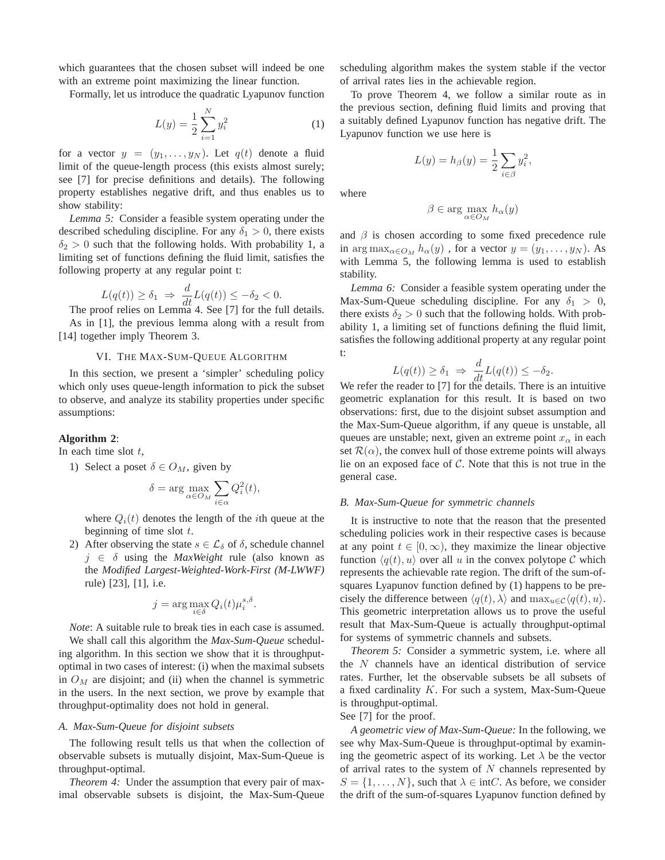which guarantees that the chosen subset will indeed be one with an extreme point maximizing the linear function.

Formally, let us introduce the quadratic Lyapunov function

$$
L(y) = \frac{1}{2} \sum_{i=1}^{N} y_i^2
$$
 (1)

for a vector  $y = (y_1, \ldots, y_N)$ . Let  $q(t)$  denote a fluid limit of the queue-length process (this exists almost surely; see [7] for precise definitions and details). The following property establishes negative drift, and thus enables us to show stability:

*Lemma 5:* Consider a feasible system operating under the described scheduling discipline. For any  $\delta_1 > 0$ , there exists  $\delta_2 > 0$  such that the following holds. With probability 1, a limiting set of functions defining the fluid limit, satisfies the following property at any regular point t:

$$
L(q(t)) \ge \delta_1 \Rightarrow \frac{d}{dt} L(q(t)) \le -\delta_2 < 0.
$$
\nThe proof relies on Lemma 4. See [7] for the full details.

As in [1], the previous lemma along with a result from [14] together imply Theorem 3.

# VI. THE MAX-SUM-QUEUE ALGORITHM

In this section, we present a 'simpler' scheduling policy which only uses queue-length information to pick the subset to observe, and analyze its stability properties under specific assumptions:

# **Algorithm 2**:

In each time slot  $t$ ,

1) Select a poset  $\delta \in O_M$ , given by

$$
\delta = \arg \max_{\alpha \in O_M} \sum_{i \in \alpha} Q_i^2(t),
$$

where  $Q_i(t)$  denotes the length of the *i*th queue at the beginning of time slot  $t$ .

2) After observing the state  $s \in \mathcal{L}_{\delta}$  of  $\delta$ , schedule channel j ∈ δ using the *MaxWeight* rule (also known as the *Modified Largest-Weighted-Work-First (M-LWWF)* rule) [23], [1], i.e.

$$
j = \arg\max_{i \in \delta} Q_i(t) \mu_i^{s,\delta}.
$$

*Note*: A suitable rule to break ties in each case is assumed. We shall call this algorithm the *Max-Sum-Queue* scheduling algorithm. In this section we show that it is throughputoptimal in two cases of interest: (i) when the maximal subsets in  $O<sub>M</sub>$  are disjoint; and (ii) when the channel is symmetric in the users. In the next section, we prove by example that throughput-optimality does not hold in general.

### *A. Max-Sum-Queue for disjoint subsets*

The following result tells us that when the collection of observable subsets is mutually disjoint, Max-Sum-Queue is throughput-optimal.

*Theorem 4:* Under the assumption that every pair of maximal observable subsets is disjoint, the Max-Sum-Queue scheduling algorithm makes the system stable if the vector of arrival rates lies in the achievable region.

To prove Theorem 4, we follow a similar route as in the previous section, defining fluid limits and proving that a suitably defined Lyapunov function has negative drift. The Lyapunov function we use here is

$$
L(y) = h_{\beta}(y) = \frac{1}{2} \sum_{i \in \beta} y_i^2,
$$

where

$$
\beta \in \arg\max_{\alpha \in O_M} h_\alpha(y)
$$

and  $\beta$  is chosen according to some fixed precedence rule in arg max<sub> $\alpha \in O_M$ </sub>  $h_\alpha(y)$ , for a vector  $y = (y_1, \ldots, y_N)$ . As with Lemma 5, the following lemma is used to establish stability.

*Lemma 6:* Consider a feasible system operating under the Max-Sum-Queue scheduling discipline. For any  $\delta_1 > 0$ , there exists  $\delta_2 > 0$  such that the following holds. With probability 1, a limiting set of functions defining the fluid limit, satisfies the following additional property at any regular point t:

$$
L(q(t)) \geq \delta_1 \implies \frac{d}{dt} L(q(t)) \leq -\delta_2.
$$

 $L(q(t)) \geq \delta_1 \Rightarrow \frac{d}{dt} L(q(t)) \leq -\delta_2.$ <br>We refer the reader to [7] for the details. There is an intuitive geometric explanation for this result. It is based on two observations: first, due to the disjoint subset assumption and the Max-Sum-Queue algorithm, if any queue is unstable, all queues are unstable; next, given an extreme point  $x<sub>o</sub>$  in each set  $\mathcal{R}(\alpha)$ , the convex hull of those extreme points will always lie on an exposed face of  $C$ . Note that this is not true in the general case.

# *B. Max-Sum-Queue for symmetric channels*

It is instructive to note that the reason that the presented scheduling policies work in their respective cases is because at any point  $t \in [0,\infty)$ , they maximize the linear objective function  $\langle q(t), u \rangle$  over all u in the convex polytope C which represents the achievable rate region. The drift of the sum-ofsquares Lyapunov function defined by (1) happens to be precisely the difference between  $\langle q(t), \lambda \rangle$  and  $\max_{u \in \mathcal{C}} \langle q(t), u \rangle$ . This geometric interpretation allows us to prove the useful result that Max-Sum-Queue is actually throughput-optimal for systems of symmetric channels and subsets.

*Theorem 5:* Consider a symmetric system, i.e. where all the N channels have an identical distribution of service rates. Further, let the observable subsets be all subsets of a fixed cardinality K. For such a system, Max-Sum-Queue is throughput-optimal.

# See [7] for the proof.

*A geometric view of Max-Sum-Queue:* In the following, we see why Max-Sum-Queue is throughput-optimal by examining the geometric aspect of its working. Let  $\lambda$  be the vector of arrival rates to the system of  $N$  channels represented by  $S = \{1, \ldots, N\}$ , such that  $\lambda \in \text{int}C$ . As before, we consider the drift of the sum-of-squares Lyapunov function defined by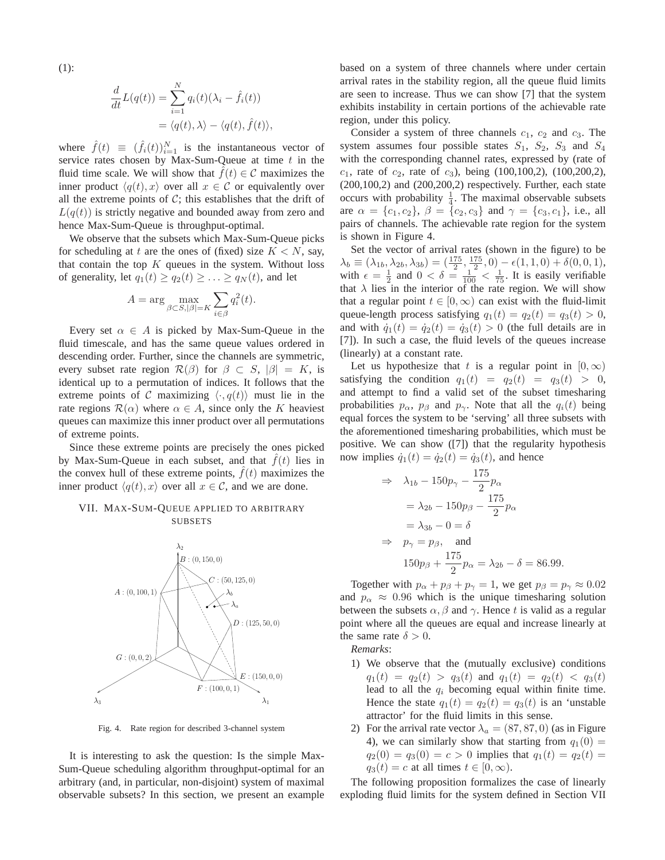(1):

$$
\frac{d}{dt}L(q(t)) = \sum_{i=1}^{N} q_i(t)(\lambda_i - \hat{f}_i(t))
$$

$$
= \langle q(t), \lambda \rangle - \langle q(t), \hat{f}(t) \rangle,
$$

where  $\hat{f}(t) \equiv (\hat{f}_i(t))_{i=1}^N$  is the instantaneous vector of service rates chosen by Max-Sum-Queue at time  $t$  in the fluid time scale. We will show that  $\hat{f}(t) \in \mathcal{C}$  maximizes the inner product  $\langle q(t), x \rangle$  over all  $x \in \mathcal{C}$  or equivalently over all the extreme points of  $C$ ; this establishes that the drift of  $L(q(t))$  is strictly negative and bounded away from zero and hence Max-Sum-Queue is throughput-optimal.

We observe that the subsets which Max-Sum-Queue picks for scheduling at t are the ones of (fixed) size  $K < N$ , say, that contain the top  $K$  queues in the system. Without loss of generality, let  $q_1(t) \ge q_2(t) \ge \ldots \ge q_N(t)$ , and let

$$
A = \arg\max_{\beta \subset S, |\beta| = K} \sum_{i \in \beta} q_i^2(t).
$$

Every set  $\alpha \in A$  is picked by Max-Sum-Queue in the fluid timescale, and has the same queue values ordered in descending order. Further, since the channels are symmetric, every subset rate region  $\mathcal{R}(\beta)$  for  $\beta \subset S$ ,  $|\beta| = K$ , is identical up to a permutation of indices. It follows that the extreme points of C maximizing  $\langle \cdot, q(t) \rangle$  must lie in the rate regions  $\mathcal{R}(\alpha)$  where  $\alpha \in A$ , since only the K heaviest queues can maximize this inner product over all permutations of extreme points.

Since these extreme points are precisely the ones picked by Max-Sum-Queue in each subset, and that  $f(t)$  lies in the convex hull of these extreme points,  $f(t)$  maximizes the inner product  $\langle q(t), x \rangle$  over all  $x \in \mathcal{C}$ , and we are done.

# VII. MAX-SUM-QUEUE APPLIED TO ARBITRARY SUBSETS



Fig. 4. Rate region for described 3-channel system

It is interesting to ask the question: Is the simple Max-Sum-Queue scheduling algorithm throughput-optimal for an arbitrary (and, in particular, non-disjoint) system of maximal observable subsets? In this section, we present an example based on a system of three channels where under certain arrival rates in the stability region, all the queue fluid limits are seen to increase. Thus we can show [7] that the system exhibits instability in certain portions of the achievable rate region, under this policy.

Consider a system of three channels  $c_1$ ,  $c_2$  and  $c_3$ . The system assumes four possible states  $S_1$ ,  $S_2$ ,  $S_3$  and  $S_4$ with the corresponding channel rates, expressed by (rate of  $c_1$ , rate of  $c_2$ , rate of  $c_3$ ), being (100,100,2), (100,200,2), (200,100,2) and (200,200,2) respectively. Further, each state occurs with probability  $\frac{1}{4}$ . The maximal observable subsets are  $\alpha = \{c_1, c_2\}, \ \beta = \{c_2, c_3\}$  and  $\gamma = \{c_3, c_1\}, \ i.e., \text{ all }$ pairs of channels. The achievable rate region for the system is shown in Figure 4.

Set the vector of arrival rates (shown in the figure) to be  $\lambda_b \equiv (\lambda_{1b}, \lambda_{2b}, \lambda_{3b}) = \left(\frac{175}{2}, \frac{175}{2}, 0\right) - \epsilon(1, 1, 0) + \delta(0, 0, 1),$ with  $\epsilon = \frac{1}{2}$  and  $0 < \delta = \frac{1}{100} < \frac{1}{75}$ . It is easily verifiable that  $\lambda$  lies in the interior of the rate region. We will show that a regular point  $t \in [0, \infty)$  can exist with the fluid-limit queue-length process satisfying  $q_1(t) = q_2(t) = q_3(t) > 0$ , and with  $\dot{q}_1(t) = \dot{q}_2(t) = \dot{q}_3(t) > 0$  (the full details are in [7]). In such a case, the fluid levels of the queues increase (linearly) at a constant rate.

Let us hypothesize that t is a regular point in  $[0,\infty)$ satisfying the condition  $q_1(t) = q_2(t) = q_3(t) > 0$ , and attempt to find a valid set of the subset timesharing probabilities  $p_{\alpha}$ ,  $p_{\beta}$  and  $p_{\gamma}$ . Note that all the  $q_i(t)$  being equal forces the system to be 'serving' all three subsets with the aforementioned timesharing probabilities, which must be positive. We can show ([7]) that the regularity hypothesis now implies  $\dot{q}_1(t) = \dot{q}_2(t) = \dot{q}_3(t)$ , and hence

$$
\Rightarrow \lambda_{1b} - 150p_{\gamma} - \frac{175}{2}p_{\alpha}
$$
  
=  $\lambda_{2b} - 150p_{\beta} - \frac{175}{2}p_{\alpha}$   
=  $\lambda_{3b} - 0 = \delta$   
 $\Rightarrow p_{\gamma} = p_{\beta}$ , and  
 $150p_{\beta} + \frac{175}{2}p_{\alpha} = \lambda_{2b} - \delta = 86.99.$ 

Together with  $p_{\alpha} + p_{\beta} + p_{\gamma} = 1$ , we get  $p_{\beta} = p_{\gamma} \approx 0.02$ and  $p_{\alpha} \approx 0.96$  which is the unique timesharing solution between the subsets  $\alpha$ ,  $\beta$  and  $\gamma$ . Hence t is valid as a regular point where all the queues are equal and increase linearly at the same rate  $\delta > 0$ .

*Remarks*:

- 1) We observe that the (mutually exclusive) conditions  $q_1(t) = q_2(t) > q_3(t)$  and  $q_1(t) = q_2(t) < q_3(t)$ lead to all the  $q_i$  becoming equal within finite time. Hence the state  $q_1(t) = q_2(t) = q_3(t)$  is an 'unstable attractor' for the fluid limits in this sense.
- 2) For the arrival rate vector  $\lambda_a = (87, 87, 0)$  (as in Figure 4), we can similarly show that starting from  $q_1(0)$  =  $q_2(0) = q_3(0) = c > 0$  implies that  $q_1(t) = q_2(t) =$  $q_3(t) = c$  at all times  $t \in [0, \infty)$ .

The following proposition formalizes the case of linearly exploding fluid limits for the system defined in Section VII